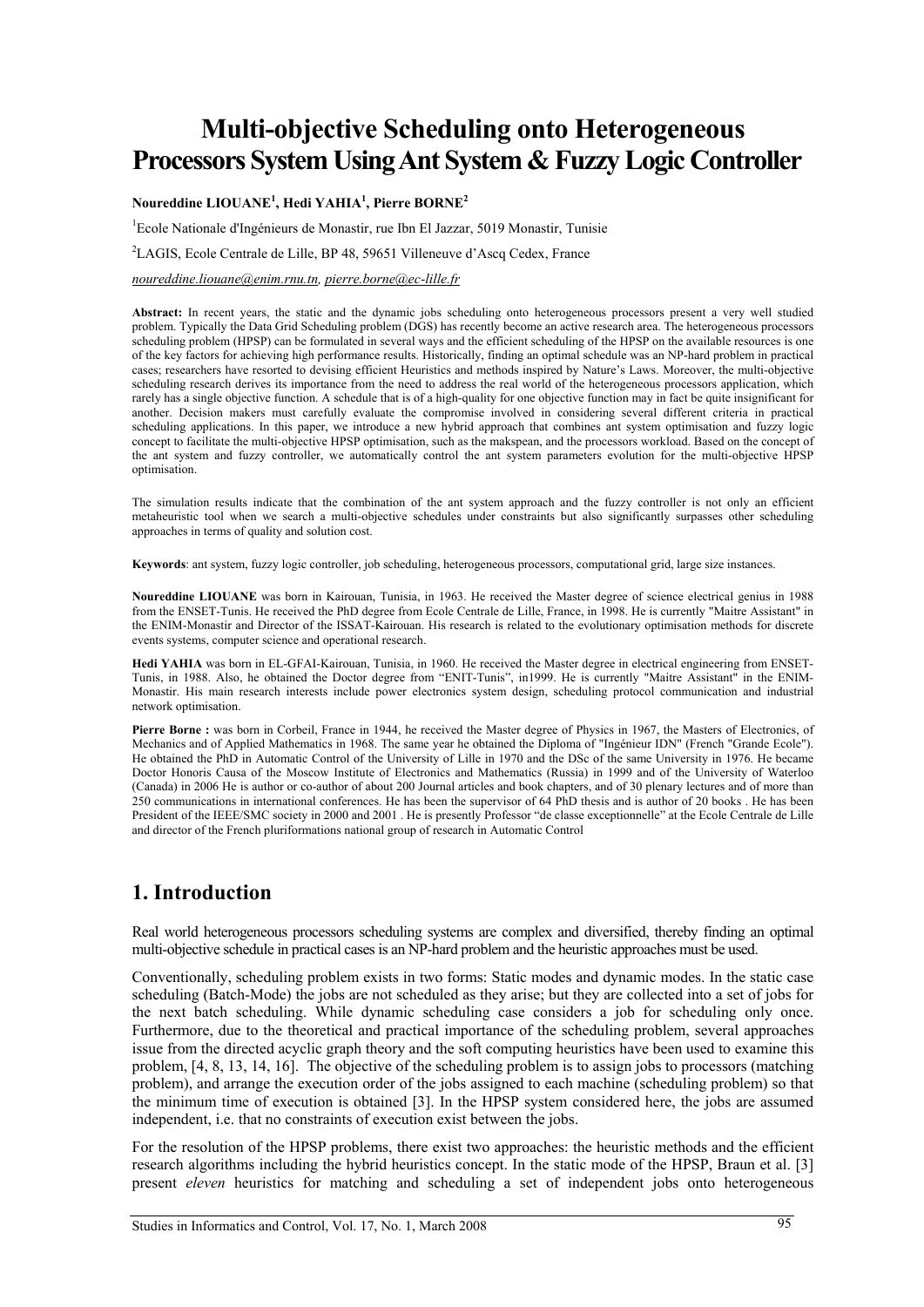# **Multi-objective Scheduling onto Heterogeneous Processors System Using Ant System & Fuzzy Logic Controller**

**Noureddine LIOUANE<sup>1</sup> , Hedi YAHIA<sup>1</sup> , Pierre BORNE2** 

<sup>1</sup>Ecole Nationale d'Ingénieurs de Monastir, rue Ibn El Jazzar, 5019 Monastir, Tunisie

2 LAGIS, Ecole Centrale de Lille, BP 48, 59651 Villeneuve d'Ascq Cedex, France

*noureddine.liouane@enim.rnu.tn, pierre.borne@ec-lille.fr* 

**Abstract:** In recent years, the static and the dynamic jobs scheduling onto heterogeneous processors present a very well studied problem. Typically the Data Grid Scheduling problem (DGS) has recently become an active research area. The heterogeneous processors scheduling problem (HPSP) can be formulated in several ways and the efficient scheduling of the HPSP on the available resources is one of the key factors for achieving high performance results. Historically, finding an optimal schedule was an NP-hard problem in practical cases; researchers have resorted to devising efficient Heuristics and methods inspired by Nature's Laws. Moreover, the multi-objective scheduling research derives its importance from the need to address the real world of the heterogeneous processors application, which rarely has a single objective function. A schedule that is of a high-quality for one objective function may in fact be quite insignificant for another. Decision makers must carefully evaluate the compromise involved in considering several different criteria in practical scheduling applications. In this paper, we introduce a new hybrid approach that combines ant system optimisation and fuzzy logic concept to facilitate the multi-objective HPSP optimisation, such as the makspean, and the processors workload. Based on the concept of the ant system and fuzzy controller, we automatically control the ant system parameters evolution for the multi-objective HPSP optimisation.

The simulation results indicate that the combination of the ant system approach and the fuzzy controller is not only an efficient metaheuristic tool when we search a multi-objective schedules under constraints but also significantly surpasses other scheduling approaches in terms of quality and solution cost.

**Keywords**: ant system, fuzzy logic controller, job scheduling, heterogeneous processors, computational grid, large size instances.

**Noureddine LIOUANE** was born in Kairouan, Tunisia, in 1963. He received the Master degree of science electrical genius in 1988 from the ENSET-Tunis. He received the PhD degree from Ecole Centrale de Lille, France, in 1998. He is currently "Maitre Assistant" in the ENIM-Monastir and Director of the ISSAT-Kairouan. His research is related to the evolutionary optimisation methods for discrete events systems, computer science and operational research.

**Hedi YAHIA** was born in EL-GFAI-Kairouan, Tunisia, in 1960. He received the Master degree in electrical engineering from ENSET-Tunis, in 1988. Also, he obtained the Doctor degree from "ENIT-Tunis", in1999. He is currently "Maitre Assistant" in the ENIM-Monastir. His main research interests include power electronics system design, scheduling protocol communication and industrial network optimisation.

Pierre Borne : was born in Corbeil, France in 1944, he received the Master degree of Physics in 1967, the Masters of Electronics, of Mechanics and of Applied Mathematics in 1968. The same year he obtained the Diploma of "Ingénieur IDN" (French "Grande Ecole"). He obtained the PhD in Automatic Control of the University of Lille in 1970 and the DSc of the same University in 1976. He became Doctor Honoris Causa of the Moscow Institute of Electronics and Mathematics (Russia) in 1999 and of the University of Waterloo (Canada) in 2006 He is author or co-author of about 200 Journal articles and book chapters, and of 30 plenary lectures and of more than 250 communications in international conferences. He has been the supervisor of 64 PhD thesis and is author of 20 books . He has been President of the IEEE/SMC society in 2000 and 2001. He is presently Professor "de classe exceptionnelle" at the Ecole Centrale de Lille and director of the French pluriformations national group of research in Automatic Control

# **1. Introduction**

Real world heterogeneous processors scheduling systems are complex and diversified, thereby finding an optimal multi-objective schedule in practical cases is an NP-hard problem and the heuristic approaches must be used.

Conventionally, scheduling problem exists in two forms: Static modes and dynamic modes. In the static case scheduling (Batch-Mode) the jobs are not scheduled as they arise; but they are collected into a set of jobs for the next batch scheduling. While dynamic scheduling case considers a job for scheduling only once. Furthermore, due to the theoretical and practical importance of the scheduling problem, several approaches issue from the directed acyclic graph theory and the soft computing heuristics have been used to examine this problem, [4, 8, 13, 14, 16]. The objective of the scheduling problem is to assign jobs to processors (matching problem), and arrange the execution order of the jobs assigned to each machine (scheduling problem) so that the minimum time of execution is obtained [3]. In the HPSP system considered here, the jobs are assumed independent, i.e. that no constraints of execution exist between the jobs.

For the resolution of the HPSP problems, there exist two approaches: the heuristic methods and the efficient research algorithms including the hybrid heuristics concept. In the static mode of the HPSP, Braun et al. [3] present *eleven* heuristics for matching and scheduling a set of independent jobs onto heterogeneous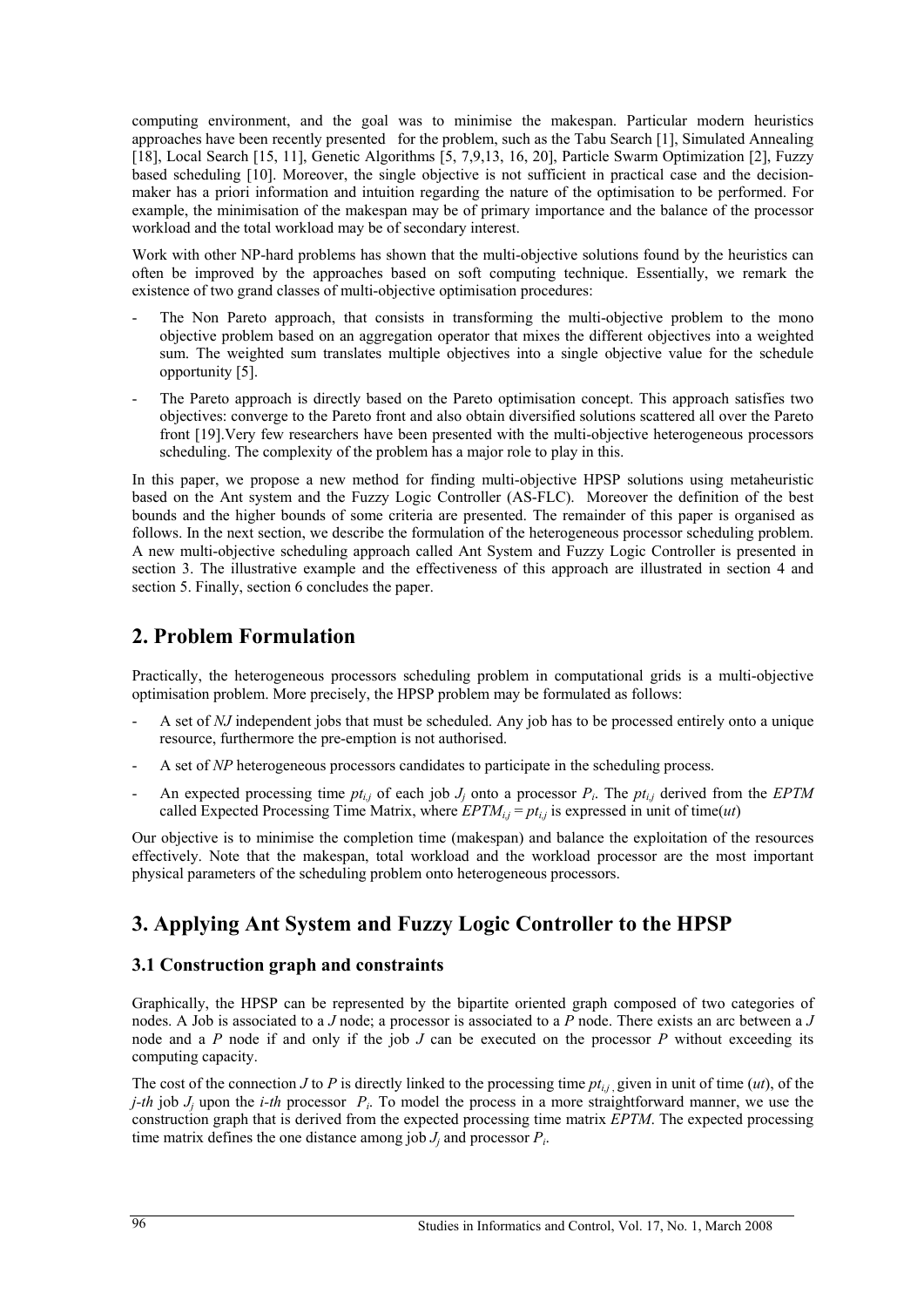computing environment, and the goal was to minimise the makespan. Particular modern heuristics approaches have been recently presented for the problem, such as the Tabu Search [1], Simulated Annealing [18], Local Search [15, 11], Genetic Algorithms [5, 7,9,13, 16, 20], Particle Swarm Optimization [2], Fuzzy based scheduling [10]. Moreover, the single objective is not sufficient in practical case and the decisionmaker has a priori information and intuition regarding the nature of the optimisation to be performed. For example, the minimisation of the makespan may be of primary importance and the balance of the processor workload and the total workload may be of secondary interest.

Work with other NP-hard problems has shown that the multi-objective solutions found by the heuristics can often be improved by the approaches based on soft computing technique. Essentially, we remark the existence of two grand classes of multi-objective optimisation procedures:

- The Non Pareto approach, that consists in transforming the multi-objective problem to the mono objective problem based on an aggregation operator that mixes the different objectives into a weighted sum. The weighted sum translates multiple objectives into a single objective value for the schedule opportunity [5].
- The Pareto approach is directly based on the Pareto optimisation concept. This approach satisfies two objectives: converge to the Pareto front and also obtain diversified solutions scattered all over the Pareto front [19].Very few researchers have been presented with the multi-objective heterogeneous processors scheduling. The complexity of the problem has a major role to play in this.

In this paper, we propose a new method for finding multi-objective HPSP solutions using metaheuristic based on the Ant system and the Fuzzy Logic Controller (AS-FLC). Moreover the definition of the best bounds and the higher bounds of some criteria are presented. The remainder of this paper is organised as follows. In the next section, we describe the formulation of the heterogeneous processor scheduling problem. A new multi-objective scheduling approach called Ant System and Fuzzy Logic Controller is presented in section 3. The illustrative example and the effectiveness of this approach are illustrated in section 4 and section 5. Finally, section 6 concludes the paper.

# **2. Problem Formulation**

Practically, the heterogeneous processors scheduling problem in computational grids is a multi-objective optimisation problem. More precisely, the HPSP problem may be formulated as follows:

- A set of *NJ* independent jobs that must be scheduled. Any job has to be processed entirely onto a unique resource, furthermore the pre-emption is not authorised.
- A set of *NP* heterogeneous processors candidates to participate in the scheduling process.
- An expected processing time  $pt_{i,j}$  of each job  $J_i$  onto a processor  $P_i$ . The  $pt_{i,j}$  derived from the *EPTM* called Expected Processing Time Matrix, where  $EPTM_{i,j} = pt_{i,j}$  is expressed in unit of time(*ut*)

Our objective is to minimise the completion time (makespan) and balance the exploitation of the resources effectively. Note that the makespan, total workload and the workload processor are the most important physical parameters of the scheduling problem onto heterogeneous processors.

# **3. Applying Ant System and Fuzzy Logic Controller to the HPSP**

### **3.1 Construction graph and constraints**

Graphically, the HPSP can be represented by the bipartite oriented graph composed of two categories of nodes. A Job is associated to a *J* node; a processor is associated to a *P* node. There exists an arc between a *J* node and a *P* node if and only if the job *J* can be executed on the processor *P* without exceeding its computing capacity.

The cost of the connection *J* to *P* is directly linked to the processing time  $pt_{i,j}$ , given in unit of time (*ut*), of the *j-th* job *J<sub>i</sub>* upon the *i-th* processor *P<sub>i</sub>*. To model the process in a more straightforward manner, we use the construction graph that is derived from the expected processing time matrix *EPTM*. The expected processing time matrix defines the one distance among job  $J_i$  and processor  $P_i$ .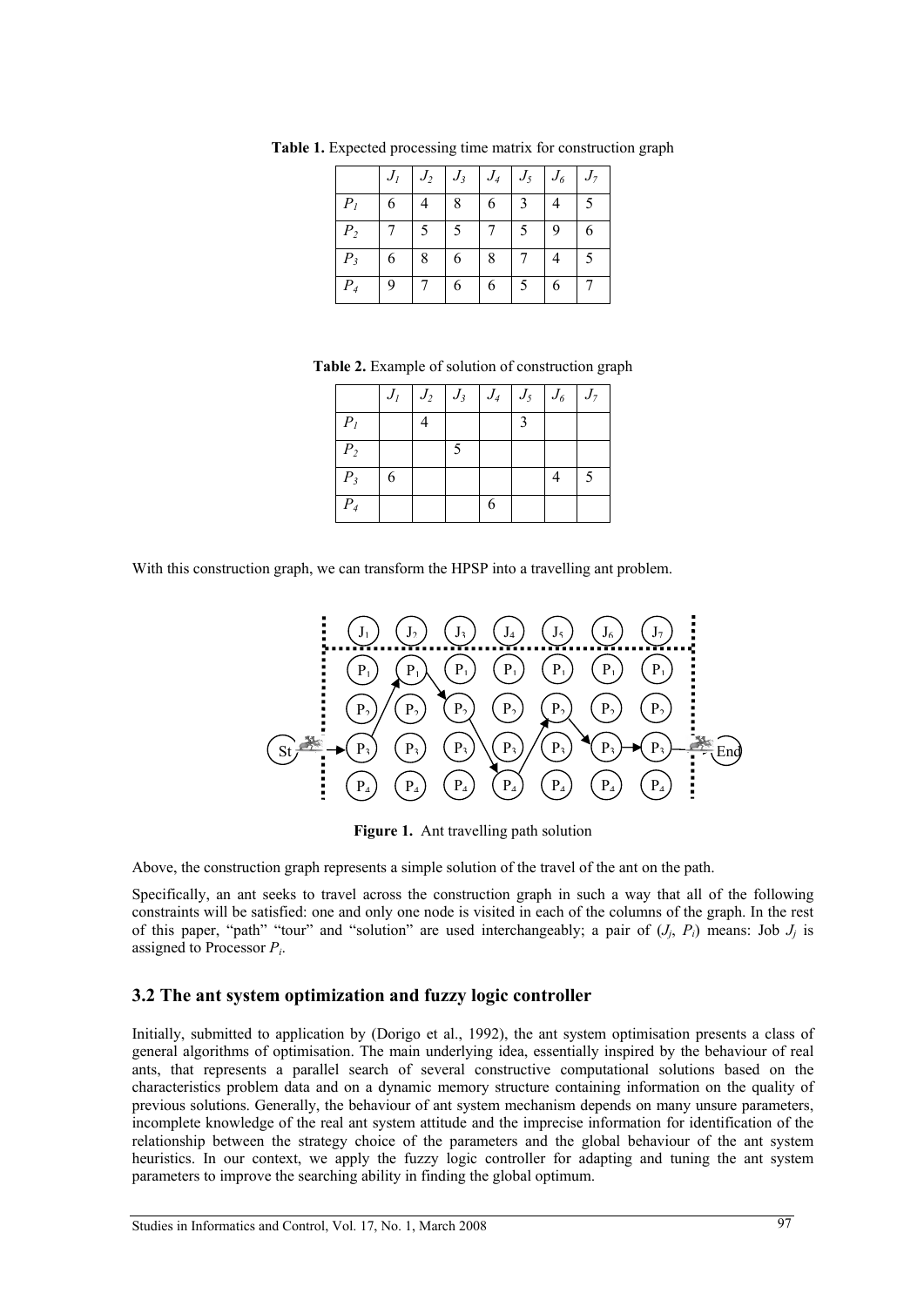|                |   |   | $J_2$ $J_3$ | $ J_4 $ | $J_5$ | $J_6$ | $J_7$ |
|----------------|---|---|-------------|---------|-------|-------|-------|
| Р,             |   |   | 8           | 6       | 3     |       |       |
| P <sub>2</sub> |   | 5 | 5           |         | 5     | 9     | 6     |
| $P_{3}$        | 6 | 8 | 6           | 8       |       |       | 5     |
|                |   |   |             |         |       |       |       |

**Table 1.** Expected processing time matrix for construction graph

**Table 2.** Example of solution of construction graph

|                |   | $J_1$ $J_2$ $J_3$ $J_4$ $J_5$ $J_6$ $J_7$ |   |  |  |
|----------------|---|-------------------------------------------|---|--|--|
| P <sub>1</sub> |   |                                           |   |  |  |
| P <sub>2</sub> |   |                                           |   |  |  |
| $P_3$          | 6 |                                           |   |  |  |
| $P_4$          |   |                                           | 6 |  |  |

With this construction graph, we can transform the HPSP into a travelling ant problem.



**Figure 1.** Ant travelling path solution

Above, the construction graph represents a simple solution of the travel of the ant on the path.

Specifically, an ant seeks to travel across the construction graph in such a way that all of the following constraints will be satisfied: one and only one node is visited in each of the columns of the graph. In the rest of this paper, "path" "tour" and "solution" are used interchangeably; a pair of  $(J_i, P_i)$  means: Job  $J_i$  is assigned to Processor *Pi*.

## **3.2 The ant system optimization and fuzzy logic controller**

Initially, submitted to application by (Dorigo et al., 1992), the ant system optimisation presents a class of general algorithms of optimisation. The main underlying idea, essentially inspired by the behaviour of real ants, that represents a parallel search of several constructive computational solutions based on the characteristics problem data and on a dynamic memory structure containing information on the quality of previous solutions. Generally, the behaviour of ant system mechanism depends on many unsure parameters, incomplete knowledge of the real ant system attitude and the imprecise information for identification of the relationship between the strategy choice of the parameters and the global behaviour of the ant system heuristics. In our context, we apply the fuzzy logic controller for adapting and tuning the ant system parameters to improve the searching ability in finding the global optimum.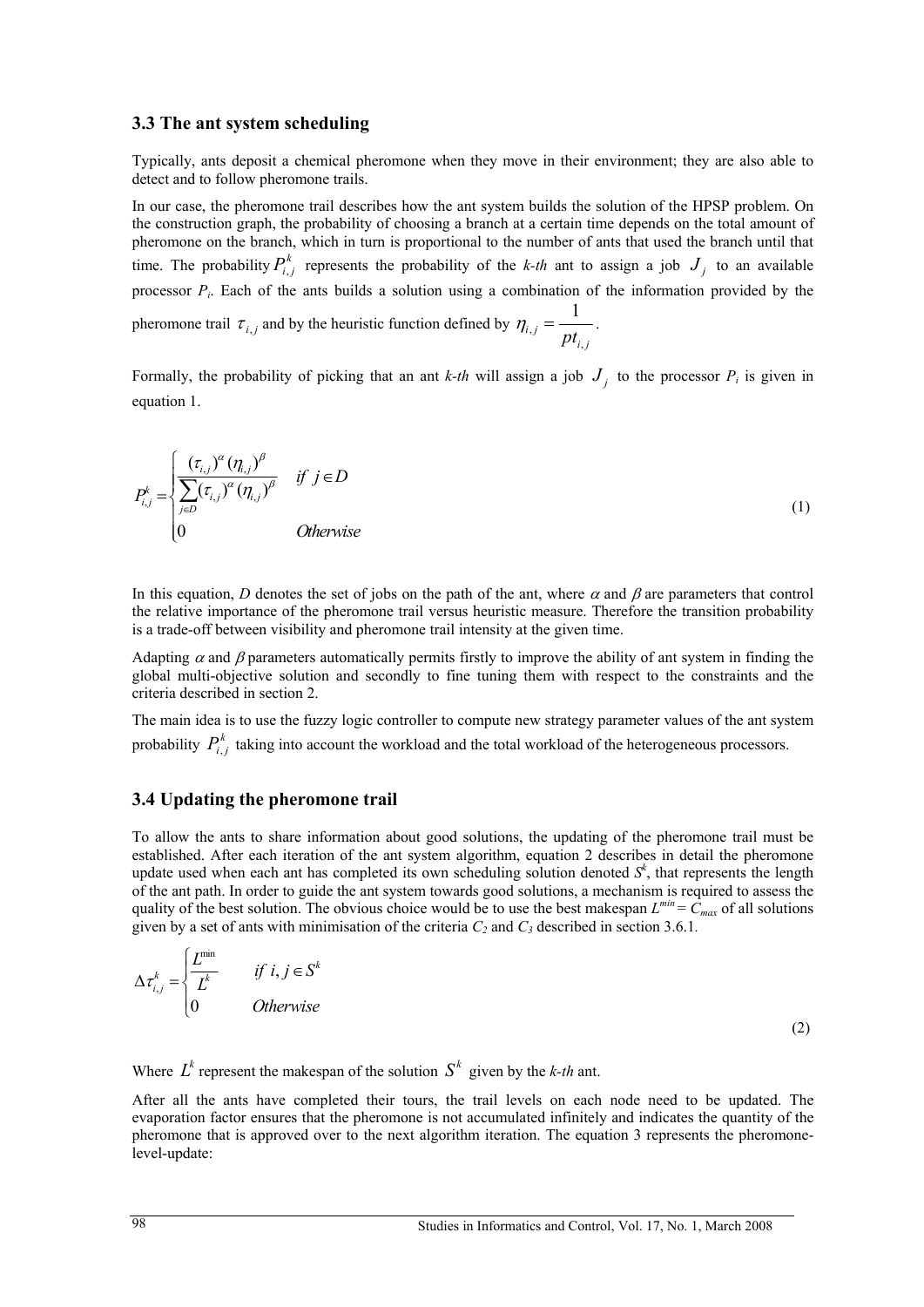#### **3.3 The ant system scheduling**

Typically, ants deposit a chemical pheromone when they move in their environment; they are also able to detect and to follow pheromone trails.

In our case, the pheromone trail describes how the ant system builds the solution of the HPSP problem. On the construction graph, the probability of choosing a branch at a certain time depends on the total amount of pheromone on the branch, which in turn is proportional to the number of ants that used the branch until that time. The probability  $P_{i,j}^k$  represents the probability of the *k-th* ant to assign a job  $J_j$  to an available processor *Pi*. Each of the ants builds a solution using a combination of the information provided by the pheromone trail  $\tau_{i,j}$  and by the heuristic function defined by  $\eta_{i,j}$ , 1  $p_{i,j} - pt_{i,j}$  $\eta_{i,i} = \frac{1}{i}$ .

Formally, the probability of picking that an ant *k-th* will assign a job  $J_i$  to the processor  $P_i$  is given in equation 1.

$$
P_{i,j}^{k} = \begin{cases} \frac{(\tau_{i,j})^{\alpha}(\eta_{i,j})^{\beta}}{\sum_{j\in D}(\tau_{i,j})^{\alpha}(\eta_{i,j})^{\beta}} & \text{if } j \in D \\ 0 & \text{Otherwise} \end{cases}
$$
(1)

In this equation, *D* denotes the set of jobs on the path of the ant, where  $\alpha$  and  $\beta$  are parameters that control the relative importance of the pheromone trail versus heuristic measure. Therefore the transition probability is a trade-off between visibility and pheromone trail intensity at the given time.

Adapting  $\alpha$  and  $\beta$  parameters automatically permits firstly to improve the ability of ant system in finding the global multi-objective solution and secondly to fine tuning them with respect to the constraints and the criteria described in section 2.

The main idea is to use the fuzzy logic controller to compute new strategy parameter values of the ant system probability  $P_{i,j}^k$  taking into account the workload and the total workload of the heterogeneous processors.

#### **3.4 Updating the pheromone trail**

To allow the ants to share information about good solutions, the updating of the pheromone trail must be established. After each iteration of the ant system algorithm, equation 2 describes in detail the pheromone update used when each ant has completed its own scheduling solution denoted *S<sup>k</sup>* , that represents the length of the ant path. In order to guide the ant system towards good solutions, a mechanism is required to assess the quality of the best solution. The obvious choice would be to use the best makespan  $L^{min} = C_{max}$  of all solutions given by a set of ants with minimisation of the criteria  $C_2$  and  $C_3$  described in section 3.6.1.

$$
\Delta \tau_{i,j}^k = \begin{cases} \frac{L^{\min}}{L^k} & \text{if } i, j \in S^k\\ 0 & \text{Otherwise} \end{cases}
$$

(2)

Where  $L^k$  represent the makespan of the solution  $S^k$  given by the *k-th* ant.

After all the ants have completed their tours, the trail levels on each node need to be updated. The evaporation factor ensures that the pheromone is not accumulated infinitely and indicates the quantity of the pheromone that is approved over to the next algorithm iteration. The equation 3 represents the pheromonelevel-update: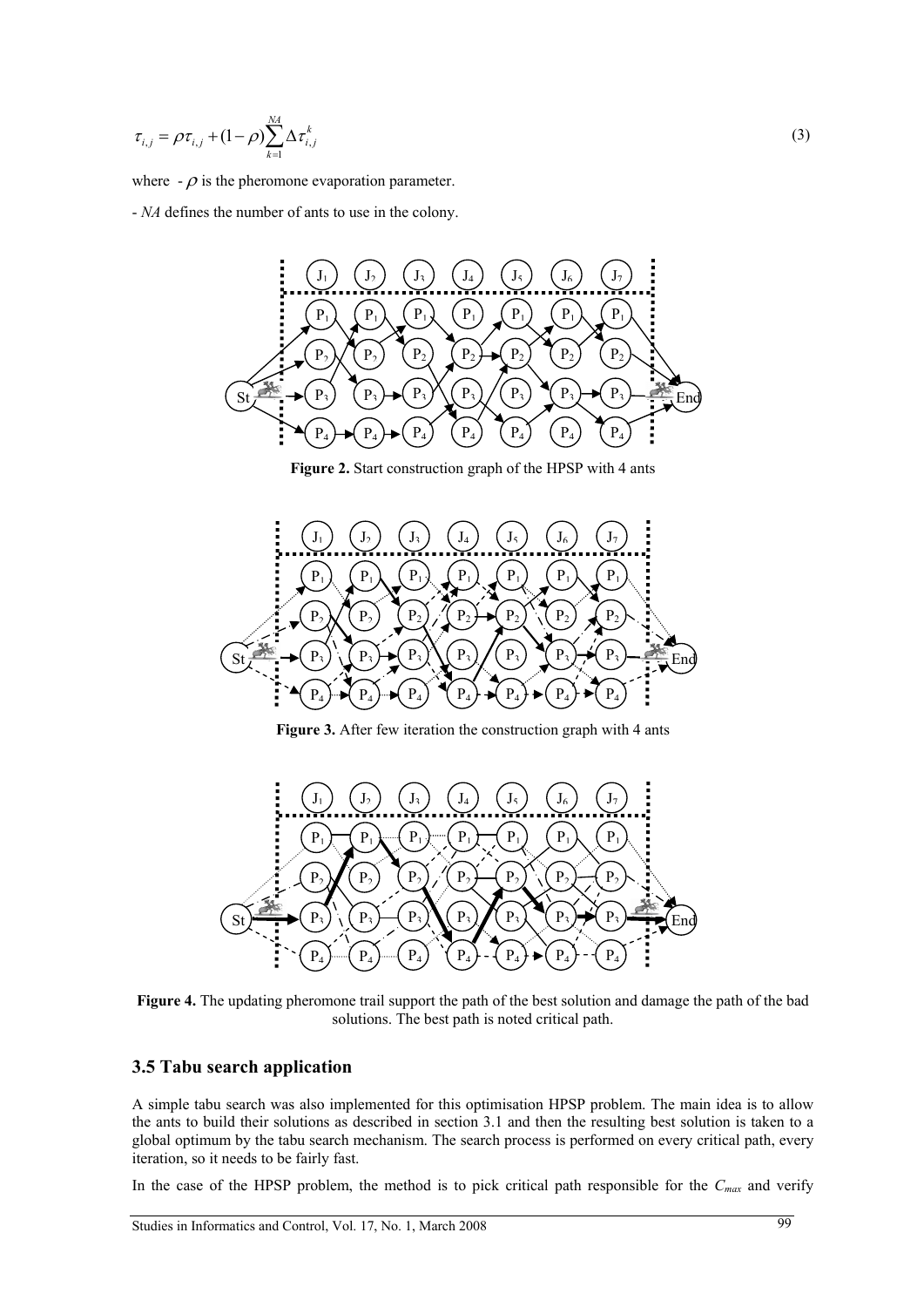$$
\tau_{i,j} = \rho \tau_{i,j} + (1 - \rho) \sum_{k=1}^{M} \Delta \tau_{i,j}^{k}
$$
 (3)

where  $-\rho$  is the pheromone evaporation parameter.

- *NA* defines the number of ants to use in the colony.



**Figure 2.** Start construction graph of the HPSP with 4 ants



**Figure 3.** After few iteration the construction graph with 4 ants



**Figure 4.** The updating pheromone trail support the path of the best solution and damage the path of the bad solutions. The best path is noted critical path.

### **3.5 Tabu search application**

A simple tabu search was also implemented for this optimisation HPSP problem. The main idea is to allow the ants to build their solutions as described in section 3.1 and then the resulting best solution is taken to a global optimum by the tabu search mechanism. The search process is performed on every critical path, every iteration, so it needs to be fairly fast.

In the case of the HPSP problem, the method is to pick critical path responsible for the  $C_{max}$  and verify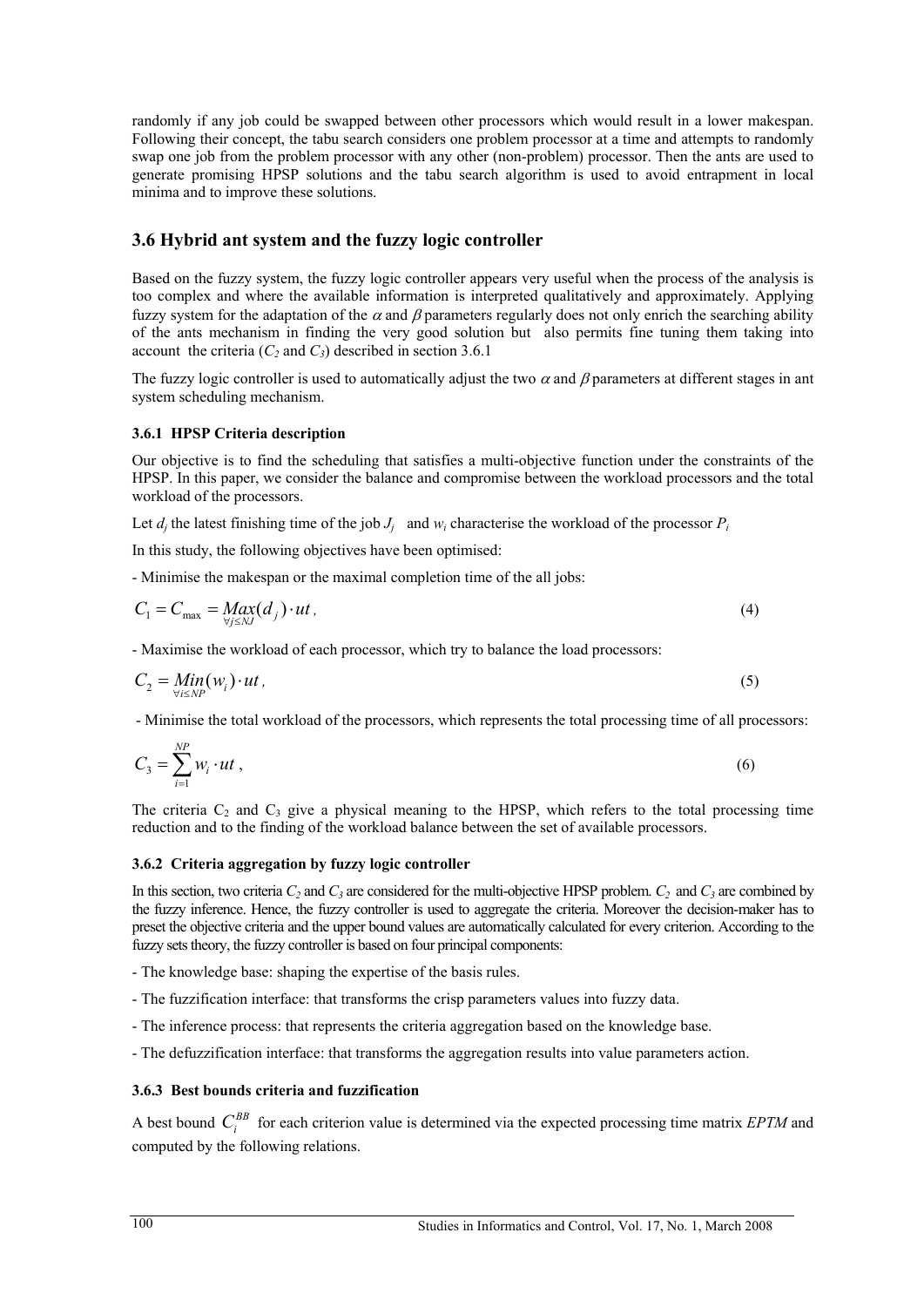randomly if any job could be swapped between other processors which would result in a lower makespan. Following their concept, the tabu search considers one problem processor at a time and attempts to randomly swap one job from the problem processor with any other (non-problem) processor. Then the ants are used to generate promising HPSP solutions and the tabu search algorithm is used to avoid entrapment in local minima and to improve these solutions.

## **3.6 Hybrid ant system and the fuzzy logic controller**

Based on the fuzzy system, the fuzzy logic controller appears very useful when the process of the analysis is too complex and where the available information is interpreted qualitatively and approximately. Applying fuzzy system for the adaptation of the  $\alpha$  and  $\beta$  parameters regularly does not only enrich the searching ability of the ants mechanism in finding the very good solution but also permits fine tuning them taking into account the criteria  $(C_2$  and  $C_3$ ) described in section 3.6.1

The fuzzy logic controller is used to automatically adjust the two  $\alpha$  and  $\beta$  parameters at different stages in ant system scheduling mechanism.

### **3.6.1 HPSP Criteria description**

Our objective is to find the scheduling that satisfies a multi-objective function under the constraints of the HPSP. In this paper, we consider the balance and compromise between the workload processors and the total workload of the processors.

Let  $d_i$  the latest finishing time of the job  $J_i$  and  $w_i$  characterise the workload of the processor  $P_i$ 

In this study, the following objectives have been optimised:

- Minimise the makespan or the maximal completion time of the all jobs:

$$
C_1 = C_{\text{max}} = \underset{\forall j \leq N} \text{Max}(d_j) \cdot ut \tag{4}
$$

- Maximise the workload of each processor, which try to balance the load processors:

$$
C_2 = \underset{\forall i \le NP}{\text{Min}}(w_i) \cdot ut \tag{5}
$$

- Minimise the total workload of the processors, which represents the total processing time of all processors:

$$
C_3 = \sum_{i=1}^{NP} w_i \cdot ut \tag{6}
$$

The criteria  $C_2$  and  $C_3$  give a physical meaning to the HPSP, which refers to the total processing time reduction and to the finding of the workload balance between the set of available processors.

### **3.6.2 Criteria aggregation by fuzzy logic controller**

In this section, two criteria  $C_2$  and  $C_3$  are considered for the multi-objective HPSP problem.  $C_2$  and  $C_3$  are combined by the fuzzy inference. Hence, the fuzzy controller is used to aggregate the criteria. Moreover the decision-maker has to preset the objective criteria and the upper bound values are automatically calculated for every criterion. According to the fuzzy sets theory, the fuzzy controller is based on four principal components:

- The knowledge base: shaping the expertise of the basis rules.
- The fuzzification interface: that transforms the crisp parameters values into fuzzy data.
- The inference process: that represents the criteria aggregation based on the knowledge base.
- The defuzzification interface: that transforms the aggregation results into value parameters action.

### **3.6.3 Best bounds criteria and fuzzification**

A best bound  $C_i^{BB}$  for each criterion value is determined via the expected processing time matrix *EPTM* and computed by the following relations.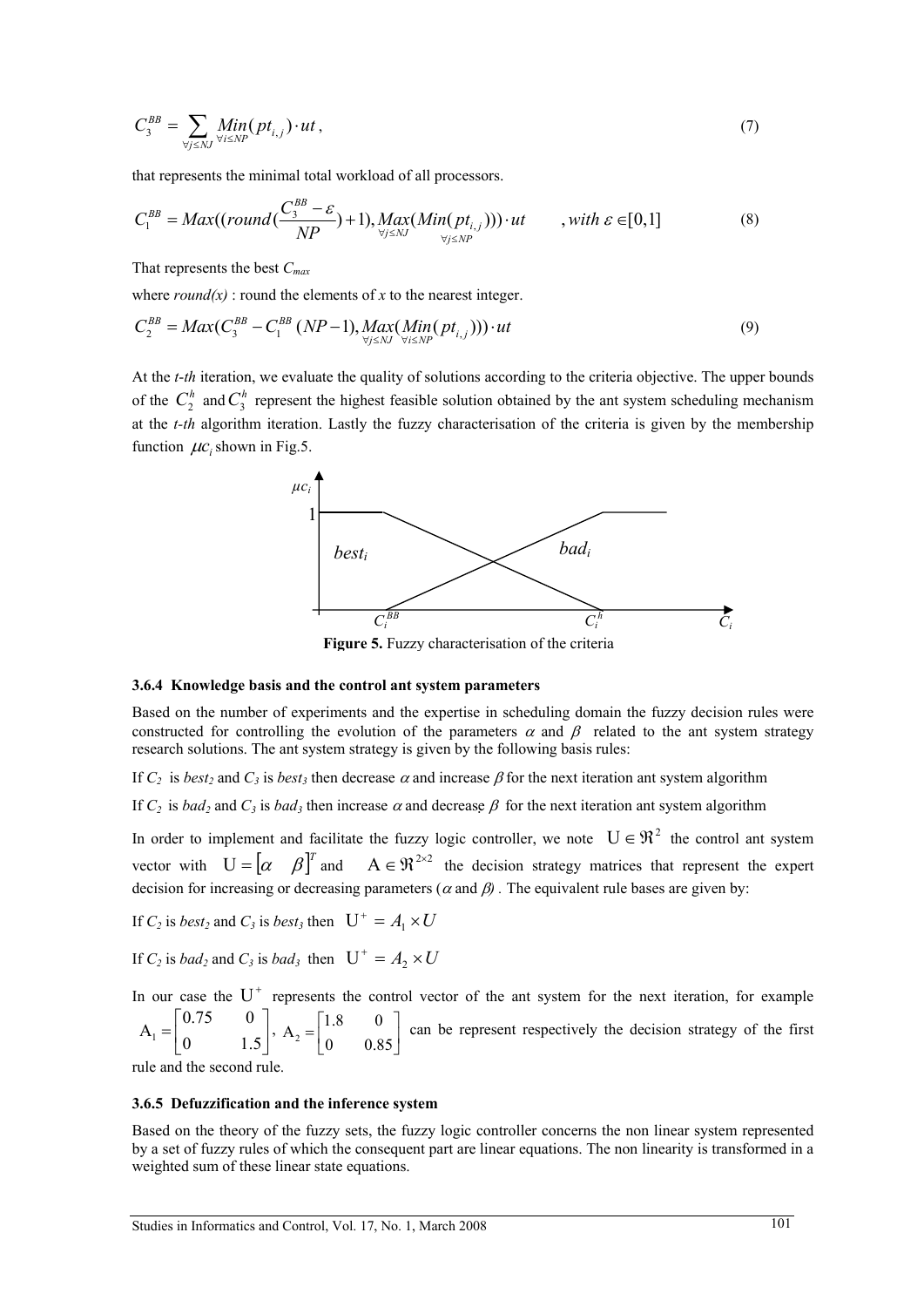$$
C_3^{BB} = \sum_{\forall j \leq NJ} Min(pt_{i,j}) \cdot ut , \qquad (7)
$$

that represents the minimal total workload of all processors.

$$
C_1^{BB} = Max((round(\frac{C_3^{BB} - \varepsilon}{NP}) + 1), Max_{\forall j \leq NJ} (Min(pt_{i,j})) \cdot ut, with \varepsilon \in [0,1]
$$
(8)

That represents the best *Cmax*

where  $round(x)$ : round the elements of *x* to the nearest integer.

$$
C_2^{BB} = Max(C_3^{BB} - C_1^{BB} (NP - 1), Max_{\forall j \leq N'}(Min(pt_{i,j}))) \cdot ut
$$
\n(9)

At the *t*-*th* iteration, we evaluate the quality of solutions according to the criteria objective. The upper bounds of the  $C_2^h$  and  $C_3^h$  represent the highest feasible solution obtained by the ant system scheduling mechanism at the *t-th* algorithm iteration. Lastly the fuzzy characterisation of the criteria is given by the membership function  $\mu c$ , shown in Fig.5.



**Figure 5.** Fuzzy characterisation of the criteria

#### **3.6.4 Knowledge basis and the control ant system parameters**

Based on the number of experiments and the expertise in scheduling domain the fuzzy decision rules were constructed for controlling the evolution of the parameters  $\alpha$  and  $\beta$  related to the ant system strategy research solutions. The ant system strategy is given by the following basis rules:

If  $C_2$  is *best<sub>2</sub>* and  $C_3$  is *best<sub>3</sub>* then decrease  $\alpha$  and increase  $\beta$  for the next iteration ant system algorithm

If  $C_2$  is *bad<sub>2</sub>* and  $C_3$  is *bad<sub>3</sub>* then increase  $\alpha$  and decrease  $\beta$  for the next iteration ant system algorithm

In order to implement and facilitate the fuzzy logic controller, we note  $U \in \mathbb{R}^2$  the control ant system vector with  $U = [\alpha \ \beta]^T$  and  $A \in \mathbb{R}^{2 \times 2}$  the decision strategy matrices that represent the expert decision for increasing or decreasing parameters ( $\alpha$  and  $\beta$ ). The equivalent rule bases are given by:

If  $C_2$  is *best<sub>2</sub>* and  $C_3$  is *best<sub>3</sub>* then  $U^+ = A_1 \times U$ 

If  $C_2$  is *bad<sub>2</sub>* and  $C_3$  is *bad<sub>3</sub>* then  $U^+ = A_2 \times U$ 

In our case the  $U^+$  represents the control vector of the ant system for the next iteration, for example 1 0.75 0 A  $=\begin{bmatrix} 0.75 & 0 \\ 0 & 1.5 \end{bmatrix}$ ,  $A_2 = \begin{bmatrix} 1.8 & 0 \\ 0 & 0.8 \end{bmatrix}$  $=\begin{bmatrix} 1.8 & 0 \\ 0 & 0.85 \end{bmatrix}$  can be represent respectively the decision strategy of the first

rule and the second rule.

#### **3.6.5 Defuzzification and the inference system**

Based on the theory of the fuzzy sets, the fuzzy logic controller concerns the non linear system represented by a set of fuzzy rules of which the consequent part are linear equations. The non linearity is transformed in a weighted sum of these linear state equations.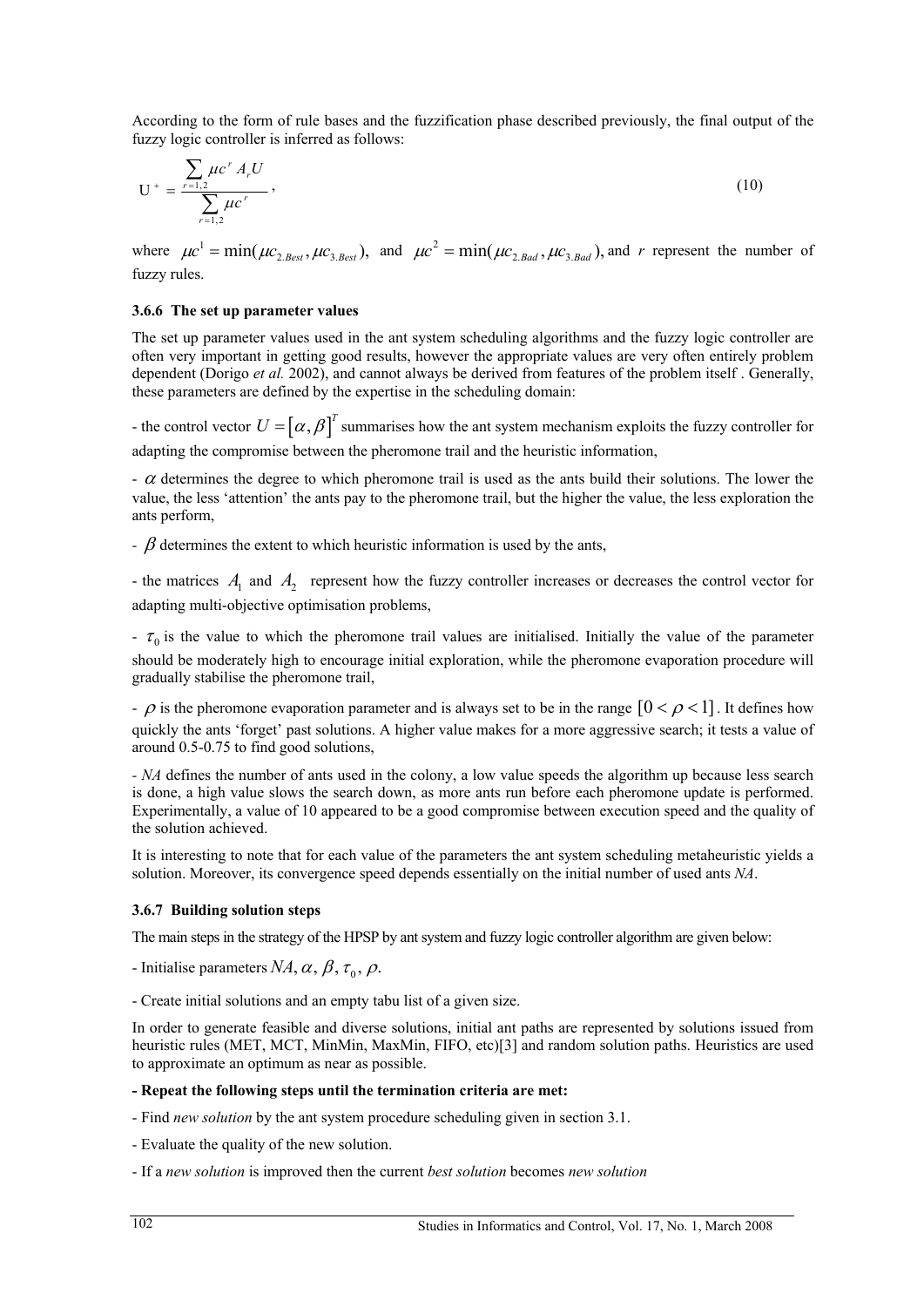According to the form of rule bases and the fuzzification phase described previously, the final output of the fuzzy logic controller is inferred as follows:

$$
U^{+} = \frac{\sum_{r=1,2} \mu c^{r} A_{r} U}{\sum_{r=1,2} \mu c^{r}},
$$
\n(10)

where  $\mu c^1 = \min(\mu c_{2, Best}, \mu c_{3, Best})$ , and  $\mu c^2 = \min(\mu c_{2, Bad}, \mu c_{3, Bad})$ , and *r* represent the number of fuzzy rules.

#### **3.6.6 The set up parameter values**

The set up parameter values used in the ant system scheduling algorithms and the fuzzy logic controller are often very important in getting good results, however the appropriate values are very often entirely problem dependent (Dorigo *et al.* 2002), and cannot always be derived from features of the problem itself . Generally, these parameters are defined by the expertise in the scheduling domain:

- the control vector  $U = [\alpha, \beta]^T$  summarises how the ant system mechanism exploits the fuzzy controller for adapting the compromise between the pheromone trail and the heuristic information,

 $-\alpha$  determines the degree to which pheromone trail is used as the ants build their solutions. The lower the value, the less 'attention' the ants pay to the pheromone trail, but the higher the value, the less exploration the ants perform,

*-*  $\beta$  determines the extent to which heuristic information is used by the ants,

- the matrices  $A_1$  and  $A_2$  represent how the fuzzy controller increases or decreases the control vector for adapting multi-objective optimisation problems,

 $-\tau_0$  is the value to which the pheromone trail values are initialised. Initially the value of the parameter should be moderately high to encourage initial exploration, while the pheromone evaporation procedure will gradually stabilise the pheromone trail,

-  $\rho$  is the pheromone evaporation parameter and is always set to be in the range  $[0 < \rho < 1]$ . It defines how quickly the ants 'forget' past solutions. A higher value makes for a more aggressive search; it tests a value of around 0.5-0.75 to find good solutions,

*- NA* defines the number of ants used in the colony, a low value speeds the algorithm up because less search is done, a high value slows the search down, as more ants run before each pheromone update is performed. Experimentally, a value of 10 appeared to be a good compromise between execution speed and the quality of the solution achieved.

It is interesting to note that for each value of the parameters the ant system scheduling metaheuristic yields a solution. Moreover, its convergence speed depends essentially on the initial number of used ants *NA*.

#### **3.6.7 Building solution steps**

The main steps in the strategy of the HPSP by ant system and fuzzy logic controller algorithm are given below:

- Initialise parameters  $NA$ ,  $\alpha$ ,  $\beta$ ,  $\tau_0$ ,  $\rho$ .
- Create initial solutions and an empty tabu list of a given size.

In order to generate feasible and diverse solutions, initial ant paths are represented by solutions issued from heuristic rules (MET, MCT, MinMin, MaxMin, FIFO, etc)[3] and random solution paths. Heuristics are used to approximate an optimum as near as possible.

#### **- Repeat the following steps until the termination criteria are met:**

- Find *new solution* by the ant system procedure scheduling given in section 3.1.
- Evaluate the quality of the new solution.
- If a *new solution* is improved then the current *best solution* becomes *new solution*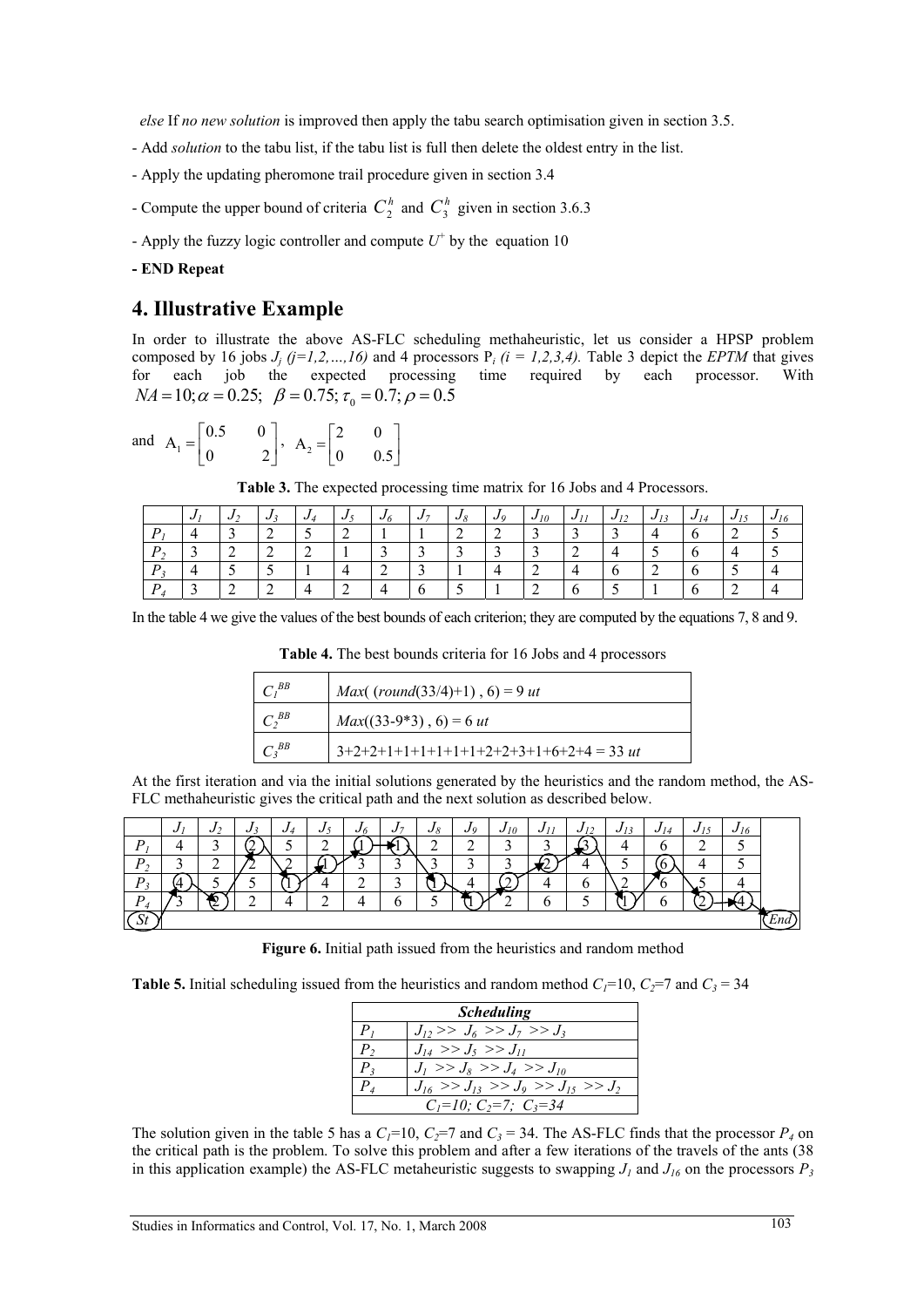*else* If *no new solution* is improved then apply the tabu search optimisation given in section 3.5.

- Add *solution* to the tabu list, if the tabu list is full then delete the oldest entry in the list.
- Apply the updating pheromone trail procedure given in section 3.4
- Compute the upper bound of criteria  $C_2^h$  and  $C_3^h$  given in section 3.6.3
- Apply the fuzzy logic controller and compute  $U^+$  by the equation 10
- **END Repeat**

## **4. Illustrative Example**

In order to illustrate the above AS-FLC scheduling methaheuristic, let us consider a HPSP problem composed by 16 jobs  $J_j$  ( $j=1,2,...,16$ ) and 4 processors  $P_i$  ( $i = 1,2,3,4$ ). Table 3 depict the *EPTM* that gives for each job the expected processing time required by each processor. With  $NA = 10$ ;  $\alpha = 0.25$ ;  $\beta = 0.75$ ;  $\tau_0 = 0.7$ ;  $\rho = 0.5$ 

and 
$$
A_1 = \begin{bmatrix} 0.5 & 0 \\ 0 & 2 \end{bmatrix}
$$
,  $A_2 = \begin{bmatrix} 2 & 0 \\ 0 & 0.5 \end{bmatrix}$ 

**Table 3.** The expected processing time matrix for 16 Jobs and 4 Processors.

|          | $J_{\lambda}$ | J. | ູ | $\boldsymbol{\omega}$ | .J 5 | $\mathbf{v}_0$ | J <sub>7</sub> | $J_{\delta}$ | Jo | $J_{10}$  | J11<br>- 11 | J12<br>1/2 | $J_{13}$ | ູປ<br>14 | 15<br>$J_{L}$ | $U_{10}$ |
|----------|---------------|----|---|-----------------------|------|----------------|----------------|--------------|----|-----------|-------------|------------|----------|----------|---------------|----------|
|          |               |    |   |                       | ∸    |                |                | -            | ∸  |           |             |            |          |          |               |          |
| $\bm{p}$ | $\sim$        | -  |   |                       |      |                |                |              |    |           | <u>_</u>    |            |          |          |               |          |
| D        |               |    |   |                       |      |                |                |              |    |           |             |            | ∸        |          |               |          |
| P        | $\sqrt{2}$    |    |   |                       |      |                |                |              |    | <b>__</b> |             |            |          |          |               |          |

In the table 4 we give the values of the best bounds of each criterion; they are computed by the equations 7, 8 and 9.

**Table 4.** The best bounds criteria for 16 Jobs and 4 processors

| $C^{BB}$   | <i>Max</i> ( $\text{(round}(33/4)+1)$ , 6) = 9 <i>ut</i> |
|------------|----------------------------------------------------------|
| $C_2^{BB}$ | $Max((33-9*3), 6) = 6$ ut                                |
| $C_3^{BB}$ | $3+2+2+1+1+1+1+1+1+2+2+3+1+6+2+4 = 33$ ut                |

At the first iteration and via the initial solutions generated by the heuristics and the random method, the AS-FLC methaheuristic gives the critical path and the next solution as described below.

|                    | ◡      | $\boldsymbol{\cdot}$ | v | ັ | ຸ່     | ∙U ∩   | $\overline{ }$<br>v | Jg     | $\boldsymbol{\omega}$ | 10<br>v | ູ | υ<br>$\overline{1}$ | ັ | v | ັ | $J_{16}$ |  |
|--------------------|--------|----------------------|---|---|--------|--------|---------------------|--------|-----------------------|---------|---|---------------------|---|---|---|----------|--|
| D                  |        | ↗                    | w |   |        |        |                     | ∼<br>- | ⌒<br>-                | ↗       |   | ---                 |   |   |   |          |  |
| D                  | ◠<br>ັ | ⌒<br>-               |   |   |        |        | ت                   |        | ⌒<br>-                | ◠       |   |                     |   |   |   |          |  |
| D                  |        |                      |   |   |        | ◠<br>- | ⌒<br>ٮ              |        |                       | -       |   |                     |   |   |   |          |  |
| n                  |        |                      |   |   | ⌒<br>- |        |                     |        |                       |         |   |                     |   |   |   |          |  |
| $\mathcal{L}$<br>_ |        |                      |   |   |        |        |                     |        |                       |         |   |                     |   |   |   |          |  |

**Figure 6.** Initial path issued from the heuristics and random method

**Table 5.** Initial scheduling issued from the heuristics and random method  $C_1$ =10,  $C_2$ =7 and  $C_3$  = 34

|                | <b>Scheduling</b>                               |
|----------------|-------------------------------------------------|
| P <sub>i</sub> | $J_1 >> J_6 >> J_7 >> J_3$                      |
| $P_{2}$        | $J_{14} >> J_5 >> J_{11}$                       |
| $P_{2}$        | $J_1 >> J_8 >> J_4 >> J_{10}$                   |
| $P_{A}$        | $J_{16} >> J_{13} >> J_{9} >> J_{15} >> J_{25}$ |
|                | $C_1=10$ ; $C_2=7$ ; $C_3=34$                   |

The solution given in the table 5 has a  $C_1$ =10,  $C_2$ =7 and  $C_3$  = 34. The AS-FLC finds that the processor  $P_4$  on the critical path is the problem. To solve this problem and after a few iterations of the travels of the ants (38 in this application example) the AS-FLC metaheuristic suggests to swapping  $J_1$  and  $J_{16}$  on the processors  $P_3$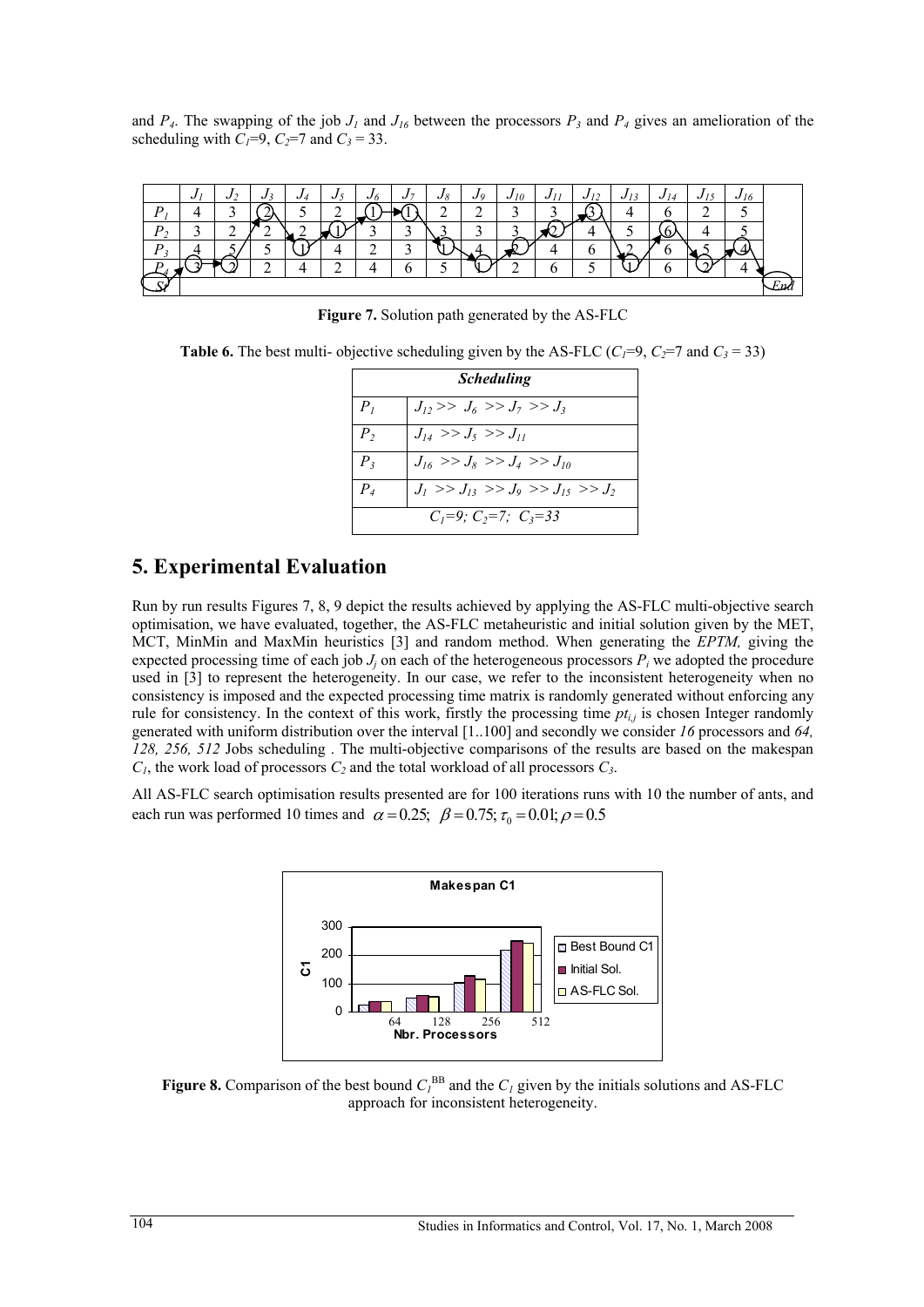and  $P_4$ . The swapping of the job  $J_1$  and  $J_{16}$  between the processors  $P_3$  and  $P_4$  gives an amelioration of the scheduling with  $C_1=9$ ,  $C_2=7$  and  $C_3=33$ .

|                | v |   | v |              | ., |   | ຸບເ |   |   |  |  | n |  |
|----------------|---|---|---|--------------|----|---|-----|---|---|--|--|---|--|
| $\overline{D}$ |   |   |   |              |    |   |     |   | - |  |  |   |  |
| D              |   | - |   | $\tilde{\ }$ |    | ∽ |     | - |   |  |  |   |  |
| n              |   |   |   |              | ∸  |   |     |   |   |  |  |   |  |
|                |   |   |   |              |    |   |     | - |   |  |  |   |  |
| $\sim$         |   |   |   |              |    |   |     |   |   |  |  |   |  |

**Figure 7.** Solution path generated by the AS-FLC

**Table 6.** The best multi- objective scheduling given by the AS-FLC ( $C_1=9$ ,  $C_2=7$  and  $C_3=33$ )

|                | <b>Scheduling</b>                       |  |  |  |  |  |  |  |
|----------------|-----------------------------------------|--|--|--|--|--|--|--|
| P <sub>l</sub> | $J_{12} >> J_6 >> J_7 >> J_3$           |  |  |  |  |  |  |  |
| P <sub>2</sub> | $J_{14} >> J_5 >> J_{11}$               |  |  |  |  |  |  |  |
| $P_{3}$        | $J_{16} >> J_8 >> J_4 >> J_{10}$        |  |  |  |  |  |  |  |
| $P_4$          | $J_1 >> J_{13} >> J_9 >> J_{15} >> J_2$ |  |  |  |  |  |  |  |
|                | $C_1=9$ ; $C_2=7$ ; $C_3=33$            |  |  |  |  |  |  |  |

# **5. Experimental Evaluation**

Run by run results Figures 7, 8, 9 depict the results achieved by applying the AS-FLC multi-objective search optimisation, we have evaluated, together, the AS-FLC metaheuristic and initial solution given by the MET, MCT, MinMin and MaxMin heuristics [3] and random method. When generating the *EPTM,* giving the expected processing time of each job  $J_i$  on each of the heterogeneous processors  $P_i$  we adopted the procedure used in [3] to represent the heterogeneity. In our case, we refer to the inconsistent heterogeneity when no consistency is imposed and the expected processing time matrix is randomly generated without enforcing any rule for consistency. In the context of this work, firstly the processing time  $pt_{i,j}$  is chosen Integer randomly generated with uniform distribution over the interval [1..100] and secondly we consider *16* processors and *64, 128, 256, 512* Jobs scheduling . The multi-objective comparisons of the results are based on the makespan  $C_1$ , the work load of processors  $C_2$  and the total workload of all processors  $C_3$ .

All AS-FLC search optimisation results presented are for 100 iterations runs with 10 the number of ants, and each run was performed 10 times and  $\alpha = 0.25$ ;  $\beta = 0.75$ ;  $\tau_0 = 0.01$ ;  $\rho = 0.5$ 



**Figure 8.** Comparison of the best bound  $C_I^{BB}$  and the  $C_I$  given by the initials solutions and AS-FLC approach for inconsistent heterogeneity.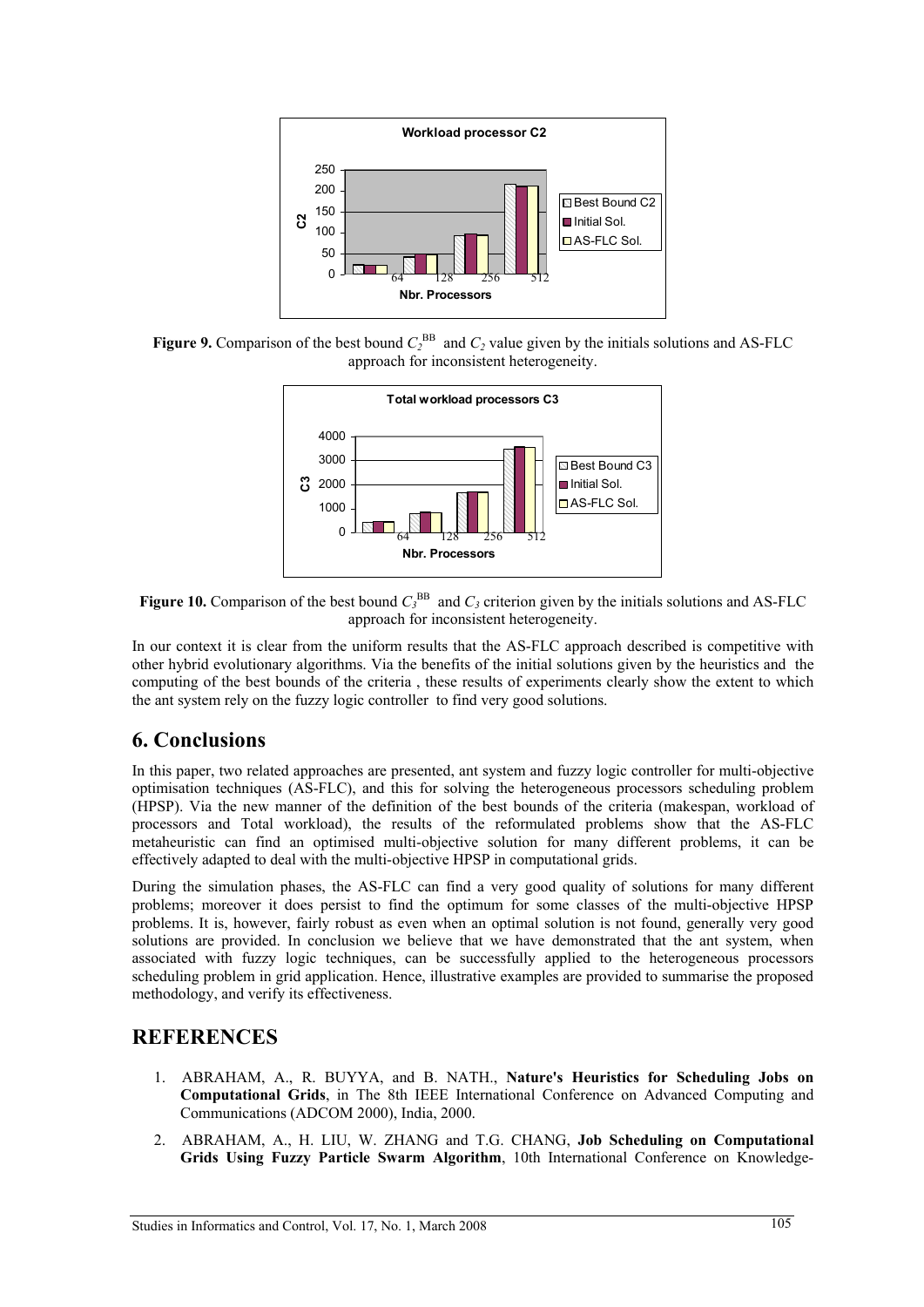

**Figure 9.** Comparison of the best bound  $C_2^{\text{BB}}$  and  $C_2$  value given by the initials solutions and AS-FLC approach for inconsistent heterogeneity.



**Figure 10.** Comparison of the best bound  $C_3^{\text{BB}}$  and  $C_3$  criterion given by the initials solutions and AS-FLC approach for inconsistent heterogeneity.

In our context it is clear from the uniform results that the AS-FLC approach described is competitive with other hybrid evolutionary algorithms. Via the benefits of the initial solutions given by the heuristics and the computing of the best bounds of the criteria , these results of experiments clearly show the extent to which the ant system rely on the fuzzy logic controller to find very good solutions.

# **6. Conclusions**

In this paper, two related approaches are presented, ant system and fuzzy logic controller for multi-objective optimisation techniques (AS-FLC), and this for solving the heterogeneous processors scheduling problem (HPSP). Via the new manner of the definition of the best bounds of the criteria (makespan, workload of processors and Total workload), the results of the reformulated problems show that the AS-FLC metaheuristic can find an optimised multi-objective solution for many different problems, it can be effectively adapted to deal with the multi-objective HPSP in computational grids.

During the simulation phases, the AS-FLC can find a very good quality of solutions for many different problems; moreover it does persist to find the optimum for some classes of the multi-objective HPSP problems. It is, however, fairly robust as even when an optimal solution is not found, generally very good solutions are provided. In conclusion we believe that we have demonstrated that the ant system, when associated with fuzzy logic techniques, can be successfully applied to the heterogeneous processors scheduling problem in grid application. Hence, illustrative examples are provided to summarise the proposed methodology, and verify its effectiveness.

# **REFERENCES**

- 1. ABRAHAM, A., R. BUYYA, and B. NATH., **Nature's Heuristics for Scheduling Jobs on Computational Grids**, in The 8th IEEE International Conference on Advanced Computing and Communications (ADCOM 2000), India, 2000.
- 2. ABRAHAM, A., H. LIU, W. ZHANG and T.G. CHANG, **Job Scheduling on Computational Grids Using Fuzzy Particle Swarm Algorithm**, 10th International Conference on Knowledge-